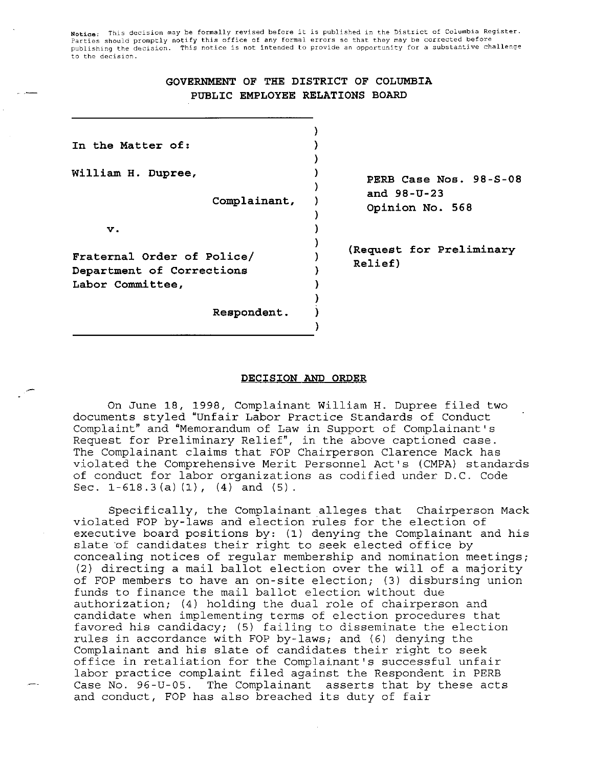Notice: This decision may be formally revised before it is published in the District of Columbia Register.<br>Parties should promptly notify this office of any formal errors so that they may be corrected before **publishing the decision. This notice is not intended to provide an opportunity for a substantive challenge to the decision.** 

## **GOVERNMENT OF THE DISTRICT OF COLUMBIA PUBLIC EMPLOYEE RELATIONS BOARD**

| In the Matter of:                                                           |                                                                |
|-----------------------------------------------------------------------------|----------------------------------------------------------------|
| William H. Dupree,<br>Complainant,                                          | PERB Case Nos. 98-S-08<br>and $98 - U - 23$<br>Opinion No. 568 |
| v.                                                                          |                                                                |
| Fraternal Order of Police/<br>Department of Corrections<br>Labor Committee, | (Request for Preliminary<br>Relief)                            |
| Respondent.                                                                 |                                                                |

#### **DECISION** *AND* **ORDER**

On June **18,** 1998, Complainant William H. Dupree filed two documents styled "Unfair Labor Practice Standards of Conduct Complaint" and "Memorandum of Law in Support of Complainant's Request for Preliminary Relief", in the above captioned case. The Complainant claims that FOP Chairperson Clarence Mack has violated the Comprehensive Merit Personnel Act's (CMPA) standards of conduct for labor organizations as codified under D.C. Code Sec.  $1-618.3(a)(1)$ ,  $(4)$  and  $(5)$ .

Specifically, the Complainant alleges that Chairperson Mack violated FOP by-laws and election rules for the election of executive board positions by: (1) denying the Complainant and his slate of candidates their right to seek elected office by concealing notices of regular membership and nomination meetings; (2) directing a mail ballot election over the will of a majority of FOP members to have an on-site election; (3) disbursing union funds to finance the mail ballot election without due authorization; (4) holding the dual role of chairperson and candidate when implementing terms of election procedures that favored his candidacy; (5) failing to disseminate the election rules in accordance with FOP by-laws; and (6) denying the Complainant and his slate of candidates their right to seek office in retaliation for the Complainant's successful unfair labor practice complaint filed against the Respondent in PERB Case No. 96-U-05. The Complainant asserts that by these acts and conduct, FOP has also breached its duty of fair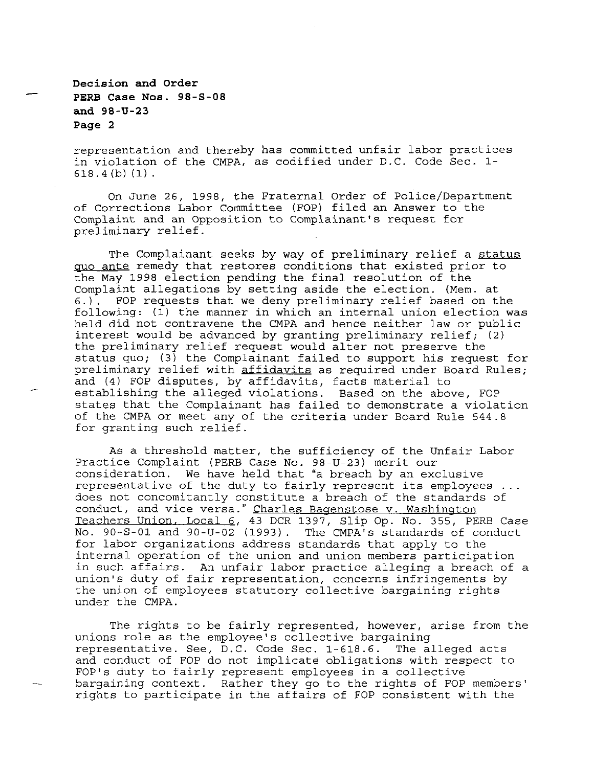**Decision and Order and 98-U-23 Page 2 PERB Case Nos. 98-S-08** 

 $\overline{\phantom{a}}$ 

representation and thereby has committed unfair labor practices in violation of the CMPA, as codified under D.C. Code Sec. 1- 618.4 (b) **(1)** .

On June 26, 1998, the Fraternal Order of Police/Department of Corrections Labor Committee (FOP) filed an Answer to the Complaint and an Opposition **to** Complainant's request for preliminary relief.

The Complainant seeks by way **of** preliminary relief a status **quo** ante remedy that restores conditions that existed prior to the May 1998 election pending the final resolution of the Complaint allegations by setting aside the election. (Mem. at *6.).* FOP requests that we deny preliminary relief based on the following: (1) the manner in which an internal union election was held did not contravene the CMPA and hence neither law or public interest would be advanced by granting preliminary relief; (2) the preliminary relief request would alter not preserve the status quo; (3) the Complainant failed to support his request for preliminary relief with affidavits as required under Board Rules; and (4) FOP disputes, by affidavits, facts material to establishing the alleged violations. Based on the above, FOP states that the Complainant has failed to demonstrate a violation of the CMPA or meet any of the criteria under Board Rule 544.8 for granting such relief.

As a threshold matter, the sufficiency of the Unfair Labor Practice Complaint (PERB Case No. 98-U-23) merit our consideration. We have held that "a breach by an exclusive representative of the duty to fairly represent its employees ... does not concomitantly constitute a breach of the standards of conduct, and vice versa." Charles Bagenstose v. Washington Teachers Union. Local *6,* 43 DCR 1397, Slip Op. No. 355, PERB Case No. 90-S-01 and 90-U-02 (1993). for labor organizations address standards that apply to the internal operation of the union and union members participation in such affairs. An unfair labor practice alleging a breach of a union's duty of fair representation, concerns infringements by the union of employees statutory collective bargaining rights under the CMPA.

The rights to be fairly represented, however, arise from the unions role as the employee's collective bargaining representative. See, D.C. Code Sec. 1-618.6. The alleged acts and conduct of FOP do not implicate obligations with respect to FOP'S duty to fairly represent employees in a collective rights to participate in the affairs of FOP consistent with the bargaining context. Rather they go to the rights of FOP members'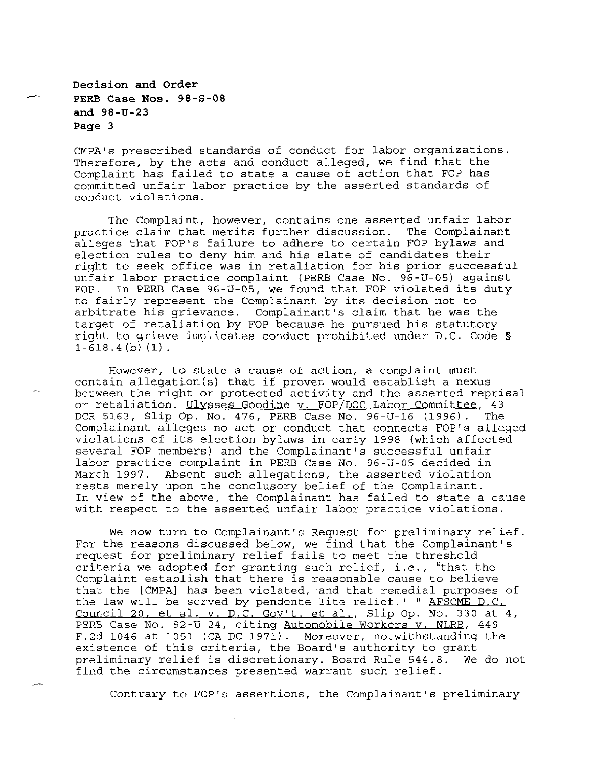**Decision and Order PERB Case Nos. 98-S-08 and 98-U-23 Page 3** 

CMPA's prescribed standards of conduct for labor organizations. Therefore, by the acts and conduct alleged, we find that the Complaint has failed to state a cause of action that FOP has committed unfair labor practice by the asserted standards of conduct violations.

The Complaint, however, contains one asserted unfair labor practice claim that merits further discussion. The Complainant alleges that FOP'S failure to adhere to certain FOP bylaws and election rules to deny him and his slate of candidates their right to seek office was in retaliation for his prior successful unfair labor practice complaint (PERB Case No. 96-U-05) against In PERB Case 96-U-05, we found that FOP violated its duty to fairly represent the Complainant by its decision not to arbitrate his grievance. Complainant's claim that he was the target of retaliation by FOP because he pursued his statutory right to grieve implicates conduct prohibited under D.C. Code §  $1-618.4$  (b)  $(1)$ .

However, to state a cause of action, a complaint must contain allegation(s) that if proven would establish a nexus between the right or protected activity and the asserted reprisal or retaliation. Ulysses Goodine v. FOP/DOC Labor Committee, 43<br>DCR 5163, Slip Op. No. 476, PERB Case No. 96-U-16 (1996). The DCR 5163, Slip Op. No. 476, PERB Case No. 96-U-16 (1996). Complainant alleges no act or conduct that connects FOP'S alleged violations of its election bylaws in early 1998 (which affected several FOP members) and the Complainant's successful unfair labor practice complaint in PERB Case No. 96-U-05 decided in March 1997. Absent such allegations, the asserted violation rests merely upon the conclusory belief of the Complainant. In view of the above, the Complainant has failed to state a cause with respect to the asserted unfair labor practice violations.

We now turn to Complainant's Request for preliminary relief. For the reasons discussed below, we find that the Complainant's request for preliminary relief fails to meet the threshold criteria we adopted for granting such relief, i.e., "that the Complaint establish that there is reasonable cause to believe that the [CMPA] has been violated, and that remedial purposes of the law will be served by pendente lite relief.' " AFSCME D.C. Council 20, et al. v. D.C. Gov't. et al., Slip Op. No. 330 at 4, PERB Case No. 92-U-24, citing Automobile Workers v. NLRB, 449 F.2d 1046 at 1051 (CA DC 1971). Moreover, notwithstanding the existence of this criteria, the Board's authority to grant<br>preliminary relief is discretionary. Board Rule 544.8. We do not preliminary relief is discretionary. Board Rule 544.8. find the circumstances presented warrant such relief.

Contrary to FOP'S assertions, the Complainant's preliminary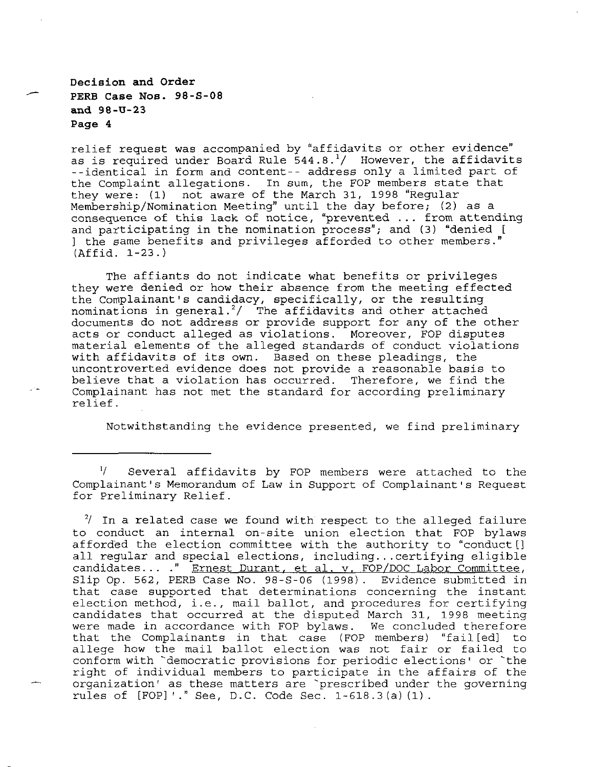# **Decision and Order PERB Case Nos. 98-S-08 and 98-U-23 Page 4**

relief request was accompanied by "affidavits or other evidence" as is required under Board Rule  $544.8.^1/$  However, the affidavits --identical in form and content-- address only a limited part of the Complaint allegations. In sum, the FOP members state that they were: (1) not aware of the March 31, 1998 "Regular Membership/Nomination Meeting" until the day before; (2) as a consequence of this **lack** of notice, "prevented ... from attending and participating in the nomination process"; and (3) "denied [ ] the same benefits and privileges afforded to other members." (Affid. 1-23.)

The affiants do not indicate what benefits or privileges they were denied or how their absence from the meeting effected the Complainant's candidacy, specifically, or the resulting nominations in general.<sup>2</sup>/ The affidavits and other attached documents do not address or provide support for any of the other acts or conduct alleged as violations. Moreover, FOP disputes material elements of the alleged standards of conduct violations with affidavits of its own. Based on these pleadings, the uncontroverted evidence does not provide a reasonable basis to believe that a violation has occurred. Complainant has not met the standard for according preliminary relief.

Notwithstanding the evidence presented, we find preliminary

Several affidavits by FOP members were attached to the Complainant's Memorandum of Law in Support of Complainant's Request for Preliminary Relief.

**<sup>2/</sup>** In a related case we found with respect to the alleged failure to conduct an internal on-site union election that FOP bylaws afforded the election committee with the authority to "conduct [] all regular and special elections, including... certifying eligible candidates ... ." Ernest Durant. et al. v. FOP/DOC Labor Committee, Slip Op. 562, PERB Case No. 98-S-06 **(1998).** Evidence submitted in that case supported that determinations concerning the instant election method, i.e., mail ballot, and procedures for certifying candidates that occurred at the disputed March 31, 1998 meeting were made in accordance with FOP bylaws. We concluded therefore that the Complainants in that case (FOP members) "fail[edl to allege how the mail ballot election was not fair or failed to conform with 'democratic provisions for periodic elections' or 'the right of individual members to participate in the affairs of the organization' as these matters are 'prescribed under the governing rules of [FOP] ' ." See, D.C. Code Sec. 1-618.3(a) (1).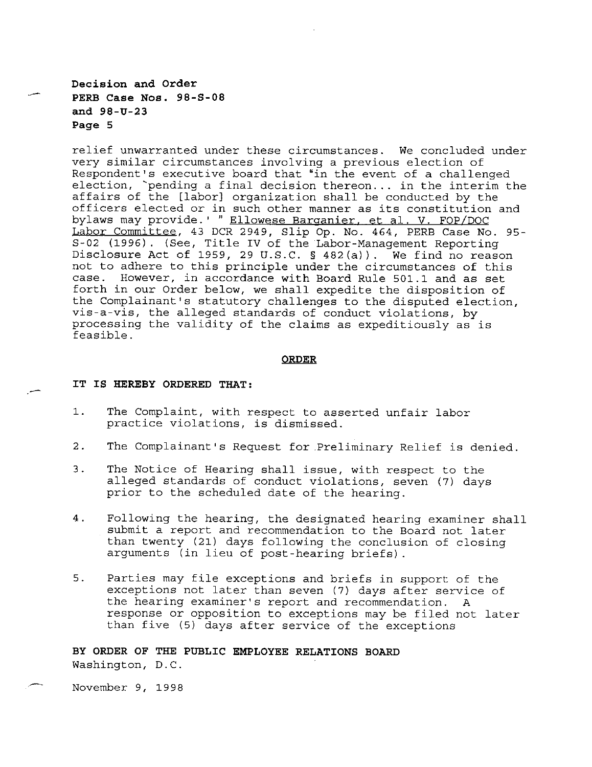**Decision and Order PERB Case Nos. 98-S-08 and 98-U-23 Page 5** 

relief unwarranted under these circumstances. We concluded under very similar circumstances involving a previous election of Respondent's executive board that "in the event of a challenged election, `pending a final decision thereon... in the interim the affairs of the [labor] organization shall be conducted by the officers elected or in such other manner as its constitution and bylaws may provide.' " Ellowese Barganier, et al. V. FOP/DOC Labor Committee, 43 DCR 2949, Slip Op. No. 464, PERB Case **No.** 95- S-02 (1996). (See, Title **IV** of the Labor-Management Reporting Disclosure Act **of** 1959, 29 U.S.C. **§** 482(a)). We find no reason not to adhere to this principle under the circumstances **of** this However, in accordance with Board Rule 501.1 and as set forth in our Order below, we shall expedite the disposition of the Complainant's statutory challenges **to** the disputed election, vis-a-vis, the alleged standards of conduct violations, by processing the validity of the claims as expeditiously as is feasible.

#### **ORDER**

#### **IT IS HEREBY ORDERED THAT:**

- 1. The Complaint, with respect to asserted unfair labor practice violations, is dismissed.
- 2. The Complainant's Request for Preliminary Relief is denied.
- **3.** The Notice of Hearing shall issue, with respect to the alleged standards of conduct violations, seven *(7)* days prior to the scheduled date of the hearing.
- 4. Following the hearing, the designated hearing examiner shall submit a report and recommendation to the Board not later than twenty (21) days following the conclusion of closing arguments (in lieu of post-hearing briefs).
- 5. Parties may file exceptions and briefs in support of the exceptions not later than seven (7) days after service of the hearing examiner's report and recommendation. A response or opposition to exceptions may be filed not later than five (5) days after service of the exceptions

**BY ORDER OF THE PUBLIC EMPLOYEE RELATIONS BOARD**  Washington, D.C.

November 9, 1998